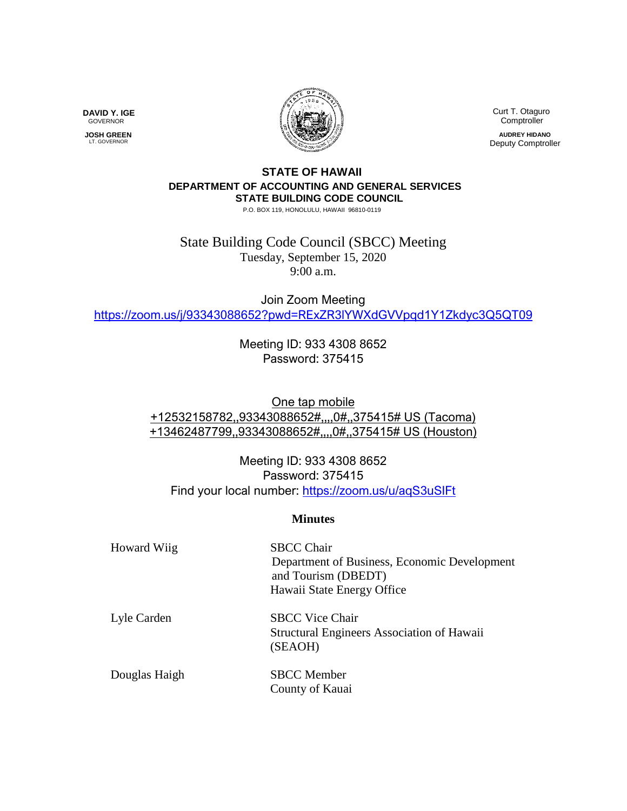

**DAVID Y. IGE** GOVERNOR

 **JOSH GREEN** LT. GOVERNOR

 Curt T. Otaguro Comptroller **AUDREY HIDANO**

Deputy Comptroller

## **STATE OF HAWAII DEPARTMENT OF ACCOUNTING AND GENERAL SERVICES STATE BUILDING CODE COUNCIL**

P.O. BOX 119, HONOLULU, HAWAII 96810-0119

State Building Code Council (SBCC) Meeting Tuesday, September 15, 2020 9:00 a.m.

Join Zoom Meeting <https://zoom.us/j/93343088652?pwd=RExZR3lYWXdGVVpqd1Y1Zkdyc3Q5QT09>

> Meeting ID: 933 4308 8652 Password: 375415

One tap mobile +12532158782,,93343088652#,,,,0#,,375415# US (Tacoma) +13462487799,,93343088652#,,,,0#,,375415# US (Houston)

Meeting ID: 933 4308 8652 Password: 375415 Find your local number:<https://zoom.us/u/aqS3uSIFt>

## **Minutes**

| <b>Howard Wiig</b> | <b>SBCC Chair</b><br>Department of Business, Economic Development<br>and Tourism (DBEDT)<br>Hawaii State Energy Office |
|--------------------|------------------------------------------------------------------------------------------------------------------------|
| Lyle Carden        | <b>SBCC</b> Vice Chair<br><b>Structural Engineers Association of Hawaii</b><br>(SEAOH)                                 |
| Douglas Haigh      | <b>SBCC</b> Member<br>County of Kauai                                                                                  |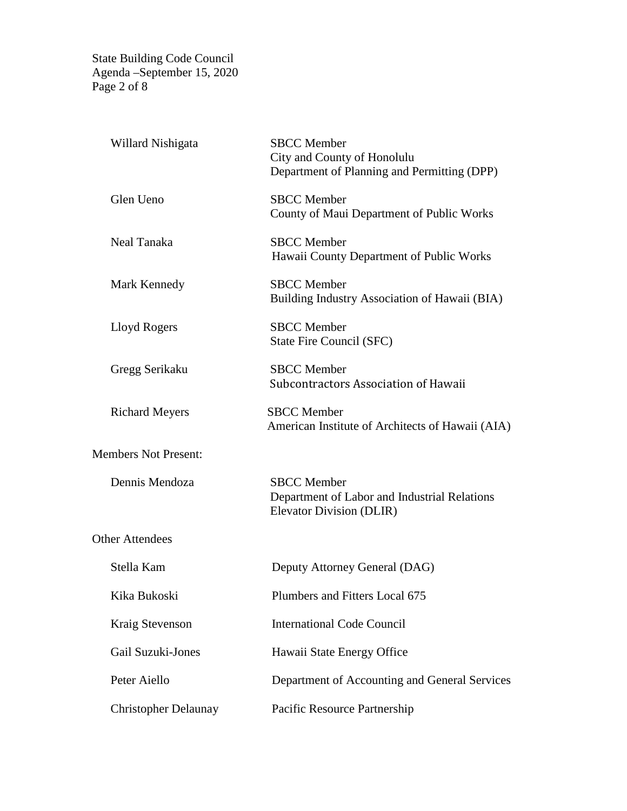State Building Code Council Agenda –September 15, 2020 Page 2 of 8

| Willard Nishigata           | <b>SBCC</b> Member<br>City and County of Honolulu<br>Department of Planning and Permitting (DPP) |
|-----------------------------|--------------------------------------------------------------------------------------------------|
| Glen Ueno                   | <b>SBCC</b> Member<br>County of Maui Department of Public Works                                  |
| Neal Tanaka                 | <b>SBCC</b> Member<br>Hawaii County Department of Public Works                                   |
| Mark Kennedy                | <b>SBCC</b> Member<br>Building Industry Association of Hawaii (BIA)                              |
| Lloyd Rogers                | <b>SBCC</b> Member<br>State Fire Council (SFC)                                                   |
| Gregg Serikaku              | <b>SBCC</b> Member<br>Subcontractors Association of Hawaii                                       |
| <b>Richard Meyers</b>       | <b>SBCC</b> Member<br>American Institute of Architects of Hawaii (AIA)                           |
| <b>Members Not Present:</b> |                                                                                                  |
| Dennis Mendoza              | <b>SBCC</b> Member<br>Department of Labor and Industrial Relations<br>Elevator Division (DLIR)   |
| <b>Other Attendees</b>      |                                                                                                  |
| Stella Kam                  | Deputy Attorney General (DAG)                                                                    |
| Kika Bukoski                | Plumbers and Fitters Local 675                                                                   |
| Kraig Stevenson             | <b>International Code Council</b>                                                                |
| Gail Suzuki-Jones           | Hawaii State Energy Office                                                                       |
| Peter Aiello                | Department of Accounting and General Services                                                    |
| <b>Christopher Delaunay</b> | Pacific Resource Partnership                                                                     |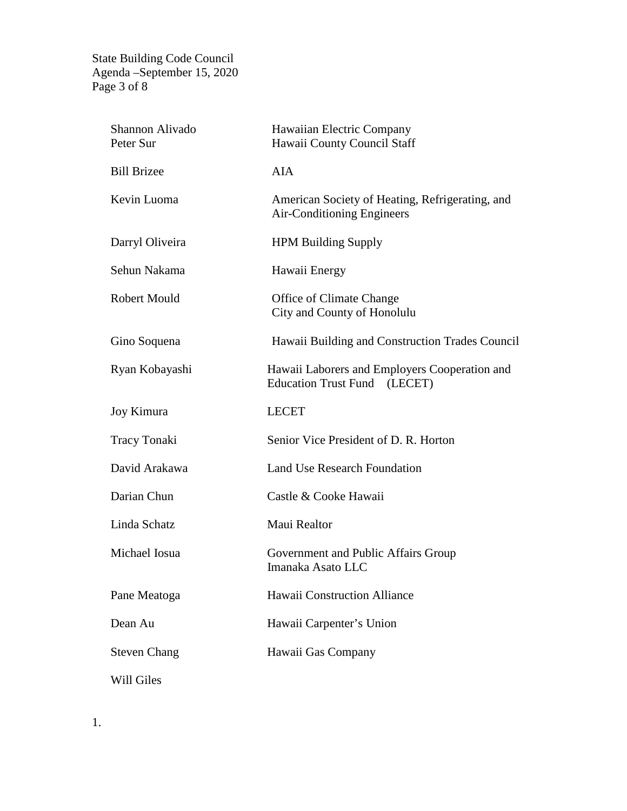State Building Code Council Agenda –September 15, 2020 Page 3 of 8

| Shannon Alivado<br>Peter Sur | Hawaiian Electric Company<br>Hawaii County Council Staff                             |
|------------------------------|--------------------------------------------------------------------------------------|
| <b>Bill Brizee</b>           | <b>AIA</b>                                                                           |
| Kevin Luoma                  | American Society of Heating, Refrigerating, and<br><b>Air-Conditioning Engineers</b> |
| Darryl Oliveira              | <b>HPM Building Supply</b>                                                           |
| Sehun Nakama                 | Hawaii Energy                                                                        |
| <b>Robert Mould</b>          | Office of Climate Change<br>City and County of Honolulu                              |
| Gino Soquena                 | Hawaii Building and Construction Trades Council                                      |
| Ryan Kobayashi               | Hawaii Laborers and Employers Cooperation and<br>Education Trust Fund (LECET)        |
| Joy Kimura                   | <b>LECET</b>                                                                         |
| Tracy Tonaki                 | Senior Vice President of D. R. Horton                                                |
| David Arakawa                | <b>Land Use Research Foundation</b>                                                  |
| Darian Chun                  | Castle & Cooke Hawaii                                                                |
| Linda Schatz                 | Maui Realtor                                                                         |
| Michael Iosua                | Government and Public Affairs Group<br>Imanaka Asato LLC                             |
| Pane Meatoga                 | <b>Hawaii Construction Alliance</b>                                                  |
| Dean Au                      | Hawaii Carpenter's Union                                                             |
| <b>Steven Chang</b>          | Hawaii Gas Company                                                                   |
| Will Giles                   |                                                                                      |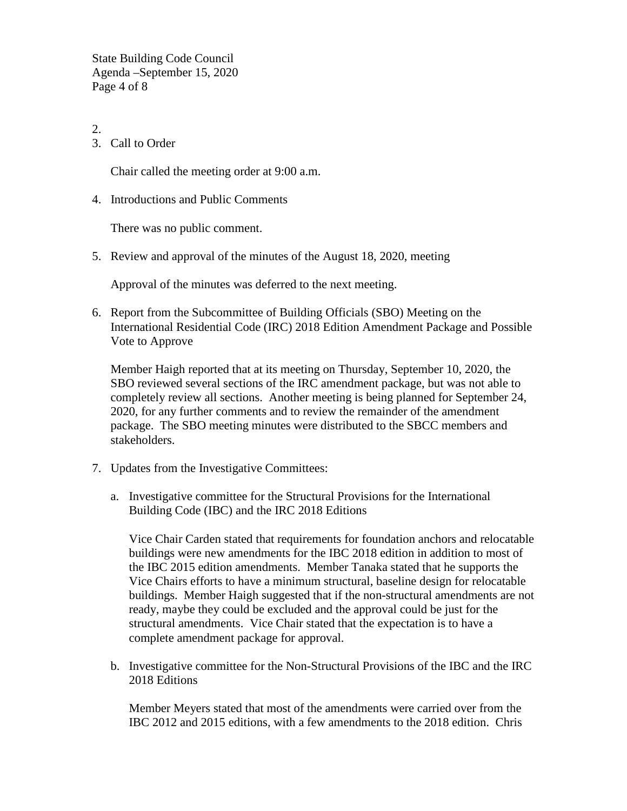State Building Code Council Agenda –September 15, 2020 Page 4 of 8

- 2.
- 3. Call to Order

Chair called the meeting order at 9:00 a.m.

4. Introductions and Public Comments

There was no public comment.

5. Review and approval of the minutes of the August 18, 2020, meeting

Approval of the minutes was deferred to the next meeting.

6. Report from the Subcommittee of Building Officials (SBO) Meeting on the International Residential Code (IRC) 2018 Edition Amendment Package and Possible Vote to Approve

Member Haigh reported that at its meeting on Thursday, September 10, 2020, the SBO reviewed several sections of the IRC amendment package, but was not able to completely review all sections. Another meeting is being planned for September 24, 2020, for any further comments and to review the remainder of the amendment package. The SBO meeting minutes were distributed to the SBCC members and stakeholders.

- 7. Updates from the Investigative Committees:
	- a. Investigative committee for the Structural Provisions for the International Building Code (IBC) and the IRC 2018 Editions

Vice Chair Carden stated that requirements for foundation anchors and relocatable buildings were new amendments for the IBC 2018 edition in addition to most of the IBC 2015 edition amendments. Member Tanaka stated that he supports the Vice Chairs efforts to have a minimum structural, baseline design for relocatable buildings. Member Haigh suggested that if the non-structural amendments are not ready, maybe they could be excluded and the approval could be just for the structural amendments. Vice Chair stated that the expectation is to have a complete amendment package for approval.

b. Investigative committee for the Non-Structural Provisions of the IBC and the IRC 2018 Editions

Member Meyers stated that most of the amendments were carried over from the IBC 2012 and 2015 editions, with a few amendments to the 2018 edition. Chris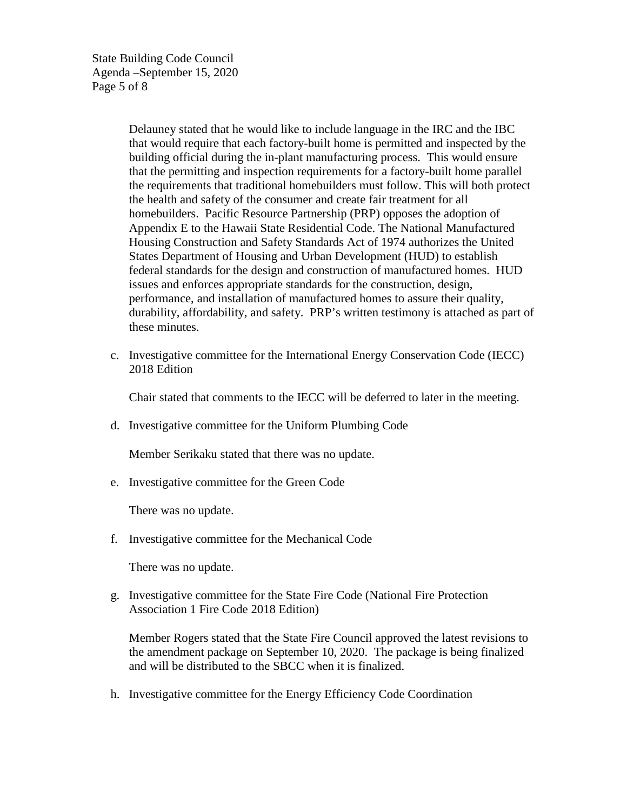State Building Code Council Agenda –September 15, 2020 Page 5 of 8

> Delauney stated that he would like to include language in the IRC and the IBC that would require that each factory-built home is permitted and inspected by the building official during the in-plant manufacturing process. This would ensure that the permitting and inspection requirements for a factory-built home parallel the requirements that traditional homebuilders must follow. This will both protect the health and safety of the consumer and create fair treatment for all homebuilders. Pacific Resource Partnership (PRP) opposes the adoption of Appendix E to the Hawaii State Residential Code. The National Manufactured Housing Construction and Safety Standards Act of 1974 authorizes the United States Department of Housing and Urban Development (HUD) to establish federal standards for the design and construction of manufactured homes. HUD issues and enforces appropriate standards for the construction, design, performance, and installation of manufactured homes to assure their quality, durability, affordability, and safety. PRP's written testimony is attached as part of these minutes.

c. Investigative committee for the International Energy Conservation Code (IECC) 2018 Edition

Chair stated that comments to the IECC will be deferred to later in the meeting.

d. Investigative committee for the Uniform Plumbing Code

Member Serikaku stated that there was no update.

e. Investigative committee for the Green Code

There was no update.

f. Investigative committee for the Mechanical Code

There was no update.

g. Investigative committee for the State Fire Code (National Fire Protection Association 1 Fire Code 2018 Edition)

Member Rogers stated that the State Fire Council approved the latest revisions to the amendment package on September 10, 2020. The package is being finalized and will be distributed to the SBCC when it is finalized.

h. Investigative committee for the Energy Efficiency Code Coordination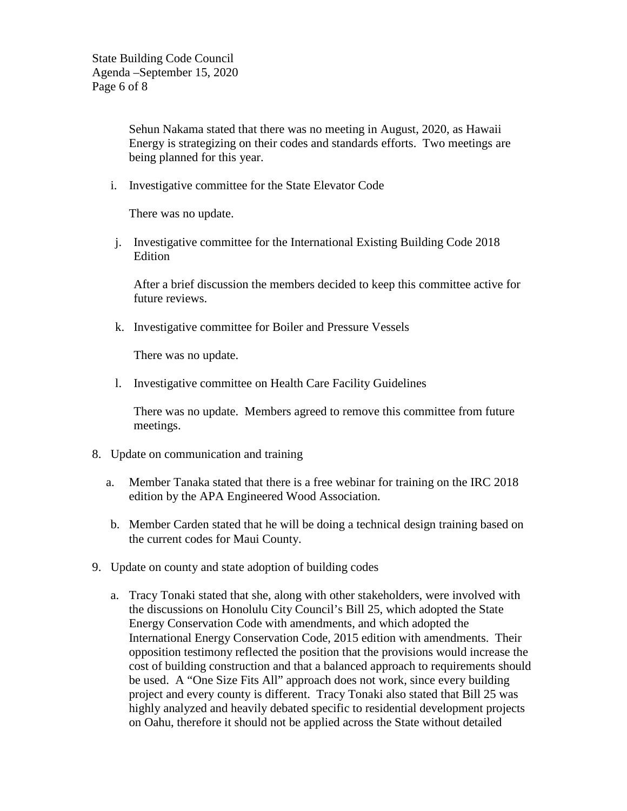State Building Code Council Agenda –September 15, 2020 Page 6 of 8

> Sehun Nakama stated that there was no meeting in August, 2020, as Hawaii Energy is strategizing on their codes and standards efforts. Two meetings are being planned for this year.

i. Investigative committee for the State Elevator Code

There was no update.

j. Investigative committee for the International Existing Building Code 2018 Edition

After a brief discussion the members decided to keep this committee active for future reviews.

k. Investigative committee for Boiler and Pressure Vessels

There was no update.

l. Investigative committee on Health Care Facility Guidelines

There was no update. Members agreed to remove this committee from future meetings.

- 8. Update on communication and training
	- a. Member Tanaka stated that there is a free webinar for training on the IRC 2018 edition by the APA Engineered Wood Association.
	- b. Member Carden stated that he will be doing a technical design training based on the current codes for Maui County.
- 9. Update on county and state adoption of building codes
	- a. Tracy Tonaki stated that she, along with other stakeholders, were involved with the discussions on Honolulu City Council's Bill 25, which adopted the State Energy Conservation Code with amendments, and which adopted the International Energy Conservation Code, 2015 edition with amendments. Their opposition testimony reflected the position that the provisions would increase the cost of building construction and that a balanced approach to requirements should be used. A "One Size Fits All" approach does not work, since every building project and every county is different. Tracy Tonaki also stated that Bill 25 was highly analyzed and heavily debated specific to residential development projects on Oahu, therefore it should not be applied across the State without detailed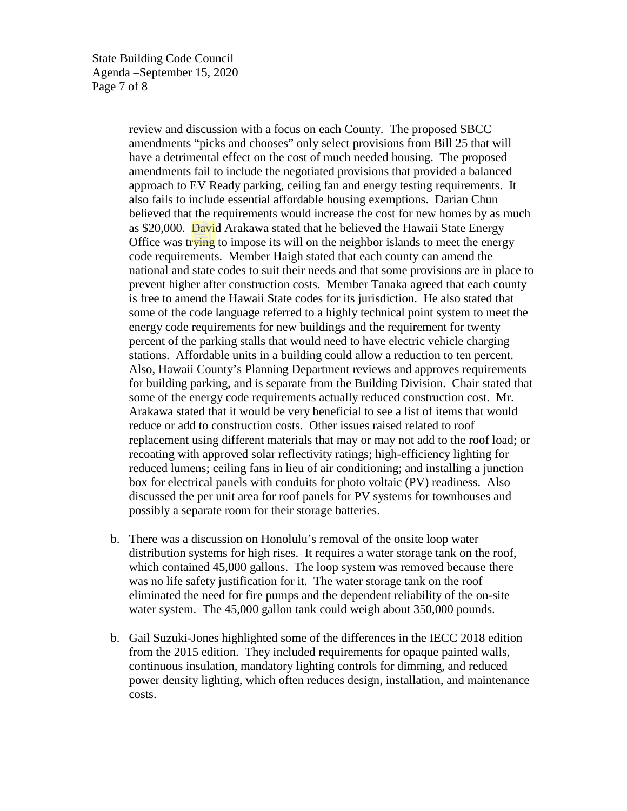State Building Code Council Agenda –September 15, 2020 Page 7 of 8

> review and discussion with a focus on each County. The proposed SBCC amendments "picks and chooses" only select provisions from Bill 25 that will have a detrimental effect on the cost of much needed housing. The proposed amendments fail to include the negotiated provisions that provided a balanced approach to EV Ready parking, ceiling fan and energy testing requirements. It also fails to include essential affordable housing exemptions.Darian Chun believed that the requirements would increase the cost for new homes by as much as \$20,000. David Arakawa stated that he believed the Hawaii State Energy Office was trying to impose its will on the neighbor islands to meet the energy code requirements. Member Haigh stated that each county can amend the national and state codes to suit their needs and that some provisions are in place to prevent higher after construction costs. Member Tanaka agreed that each county is free to amend the Hawaii State codes for its jurisdiction. He also stated that some of the code language referred to a highly technical point system to meet the energy code requirements for new buildings and the requirement for twenty percent of the parking stalls that would need to have electric vehicle charging stations. Affordable units in a building could allow a reduction to ten percent. Also, Hawaii County's Planning Department reviews and approves requirements for building parking, and is separate from the Building Division. Chair stated that some of the energy code requirements actually reduced construction cost. Mr. Arakawa stated that it would be very beneficial to see a list of items that would reduce or add to construction costs. Other issues raised related to roof replacement using different materials that may or may not add to the roof load; or recoating with approved solar reflectivity ratings; high-efficiency lighting for reduced lumens; ceiling fans in lieu of air conditioning; and installing a junction box for electrical panels with conduits for photo voltaic (PV) readiness. Also discussed the per unit area for roof panels for PV systems for townhouses and possibly a separate room for their storage batteries.

- b. There was a discussion on Honolulu's removal of the onsite loop water distribution systems for high rises. It requires a water storage tank on the roof, which contained 45,000 gallons. The loop system was removed because there was no life safety justification for it. The water storage tank on the roof eliminated the need for fire pumps and the dependent reliability of the on-site water system. The 45,000 gallon tank could weigh about 350,000 pounds.
- b. Gail Suzuki-Jones highlighted some of the differences in the IECC 2018 edition from the 2015 edition. They included requirements for opaque painted walls, continuous insulation, mandatory lighting controls for dimming, and reduced power density lighting, which often reduces design, installation, and maintenance costs.